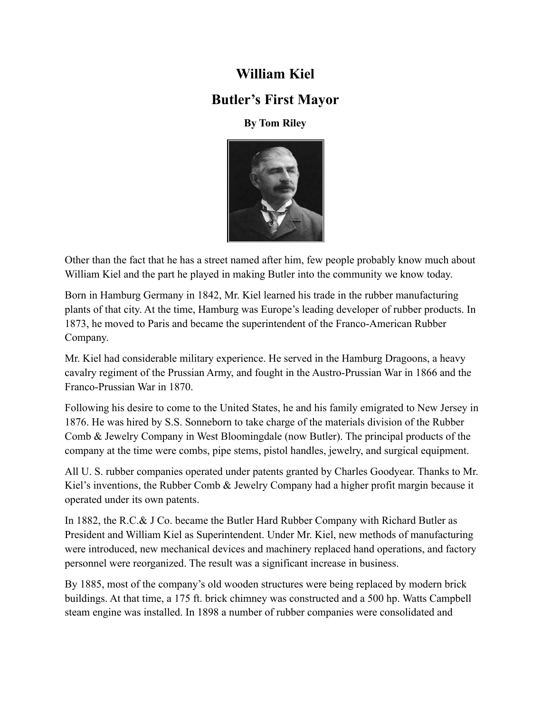## **William Kiel**

## **Butler's First Mayor**

## **By Tom Riley**



Other than the fact that he has a street named after him, few people probably know much about William Kiel and the part he played in making Butler into the community we know today.

Born in Hamburg Germany in 1842, Mr. Kiel learned his trade in the rubber manufacturing plants of that city. At the time, Hamburg was Europe's leading developer of rubber products. In 1873, he moved to Paris and became the superintendent of the Franco-American Rubber Company.

Mr. Kiel had considerable military experience. He served in the Hamburg Dragoons, a heavy cavalry regiment of the Prussian Army, and fought in the Austro-Prussian War in 1866 and the Franco-Prussian War in 1870.

Following his desire to come to the United States, he and his family emigrated to New Jersey in 1876. He was hired by S.S. Sonneborn to take charge of the materials division of the Rubber Comb & Jewelry Company in West Bloomingdale (now Butler). The principal products of the company at the time were combs, pipe stems, pistol handles, jewelry, and surgical equipment.

All U. S. rubber companies operated under patents granted by Charles Goodyear. Thanks to Mr. Kiel's inventions, the Rubber Comb & Jewelry Company had a higher profit margin because it operated under its own patents.

In 1882, the R.C.& J Co. became the Butler Hard Rubber Company with Richard Butler as President and William Kiel as Superintendent. Under Mr. Kiel, new methods of manufacturing were introduced, new mechanical devices and machinery replaced hand operations, and factory personnel were reorganized. The result was a significant increase in business.

By 1885, most of the company's old wooden structures were being replaced by modern brick buildings. At that time, a 175 ft. brick chimney was constructed and a 500 hp. Watts Campbell steam engine was installed. In 1898 a number of rubber companies were consolidated and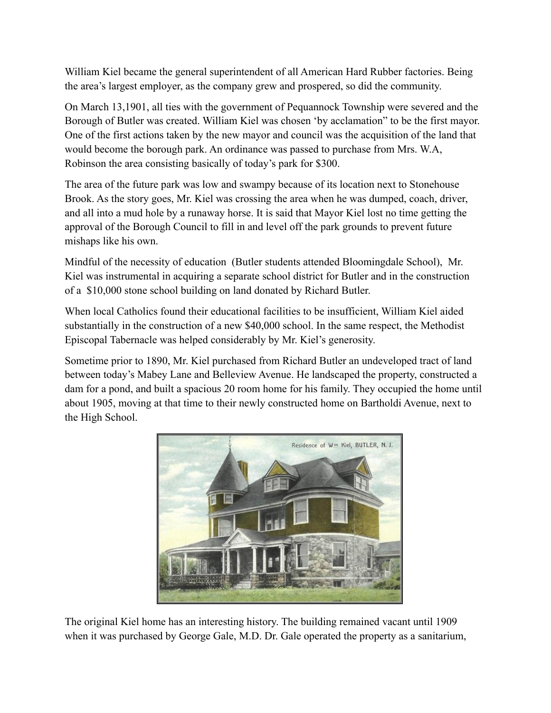William Kiel became the general superintendent of all American Hard Rubber factories. Being the area's largest employer, as the company grew and prospered, so did the community.

On March 13,1901, all ties with the government of Pequannock Township were severed and the Borough of Butler was created. William Kiel was chosen 'by acclamation" to be the first mayor. One of the first actions taken by the new mayor and council was the acquisition of the land that would become the borough park. An ordinance was passed to purchase from Mrs. W.A, Robinson the area consisting basically of today's park for \$300.

The area of the future park was low and swampy because of its location next to Stonehouse Brook. As the story goes, Mr. Kiel was crossing the area when he was dumped, coach, driver, and all into a mud hole by a runaway horse. It is said that Mayor Kiel lost no time getting the approval of the Borough Council to fill in and level off the park grounds to prevent future mishaps like his own.

Mindful of the necessity of education (Butler students attended Bloomingdale School), Mr. Kiel was instrumental in acquiring a separate school district for Butler and in the construction of a \$10,000 stone school building on land donated by Richard Butler.

When local Catholics found their educational facilities to be insufficient, William Kiel aided substantially in the construction of a new \$40,000 school. In the same respect, the Methodist Episcopal Tabernacle was helped considerably by Mr. Kiel's generosity.

Sometime prior to 1890, Mr. Kiel purchased from Richard Butler an undeveloped tract of land between today's Mabey Lane and Belleview Avenue. He landscaped the property, constructed a dam for a pond, and built a spacious 20 room home for his family. They occupied the home until about 1905, moving at that time to their newly constructed home on Bartholdi Avenue, next to the High School.



The original Kiel home has an interesting history. The building remained vacant until 1909 when it was purchased by George Gale, M.D. Dr. Gale operated the property as a sanitarium,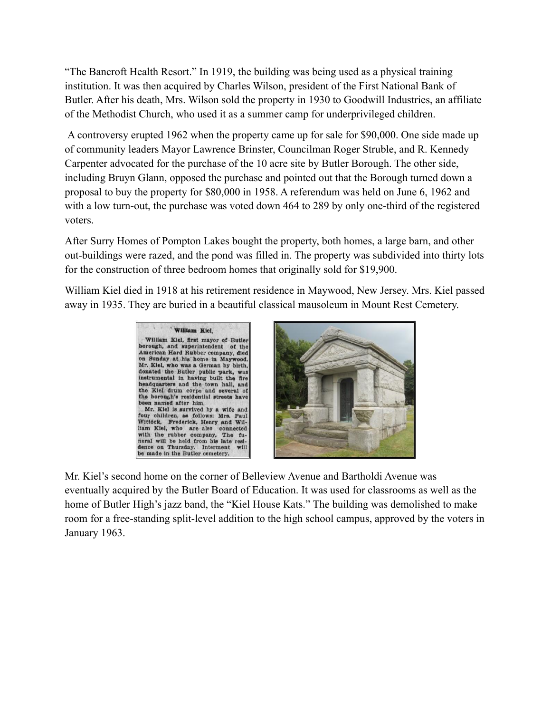"The Bancroft Health Resort." In 1919, the building was being used as a physical training institution. It was then acquired by Charles Wilson, president of the First National Bank of Butler. After his death, Mrs. Wilson sold the property in 1930 to Goodwill Industries, an affiliate of the Methodist Church, who used it as a summer camp for underprivileged children.

A controversy erupted 1962 when the property came up for sale for \$90,000. One side made up of community leaders Mayor Lawrence Brinster, Councilman Roger Struble, and R. Kennedy Carpenter advocated for the purchase of the 10 acre site by Butler Borough. The other side, including Bruyn Glann, opposed the purchase and pointed out that the Borough turned down a proposal to buy the property for \$80,000 in 1958. A referendum was held on June 6, 1962 and with a low turn-out, the purchase was voted down 464 to 289 by only one-third of the registered voters.

After Surry Homes of Pompton Lakes bought the property, both homes, a large barn, and other out-buildings were razed, and the pond was filled in. The property was subdivided into thirty lots for the construction of three bedroom homes that originally sold for \$19,900.

William Kiel died in 1918 at his retirement residence in Maywood, New Jersey. Mrs. Kiel passed away in 1935. They are buried in a beautiful classical mausoleum in Mount Rest Cemetery.





Mr. Kiel's second home on the corner of Belleview Avenue and Bartholdi Avenue was eventually acquired by the Butler Board of Education. It was used for classrooms as well as the home of Butler High's jazz band, the "Kiel House Kats." The building was demolished to make room for a free-standing split-level addition to the high school campus, approved by the voters in January 1963.